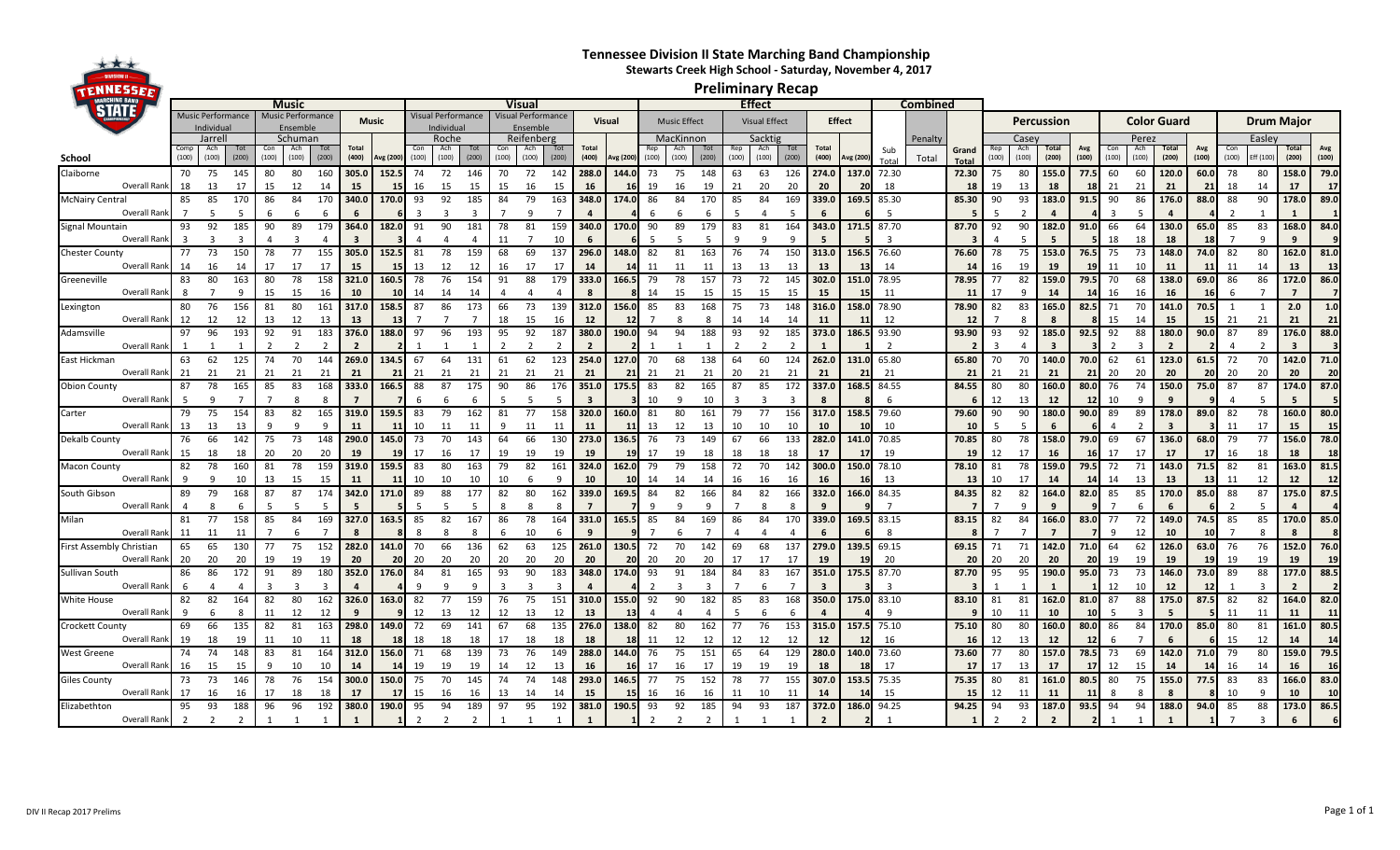## **Tennessee Division II State Marching Band Championship Stewarts Creek High School - Saturday, November 4, 2017**

**Preliminary Recap**

|                                       | <b>Music</b>                   |              |           |       |                                        |                |                       |           |       | Visual                        |       |       |                                |              |                       |           |       |                     |               | <b>Effect</b> |                      |       |                       |                |                                  |       |                      |            |                                |       |              |          |              |                    |              |                   |           |                |              |
|---------------------------------------|--------------------------------|--------------|-----------|-------|----------------------------------------|----------------|-----------------------|-----------|-------|-------------------------------|-------|-------|--------------------------------|--------------|-----------------------|-----------|-------|---------------------|---------------|---------------|----------------------|-------|-----------------------|----------------|----------------------------------|-------|----------------------|------------|--------------------------------|-------|--------------|----------|--------------|--------------------|--------------|-------------------|-----------|----------------|--------------|
|                                       | Music Performance<br>Individua |              |           |       | Music Performance<br>Music<br>Ensemble |                |                       |           |       | /isual Performance<br>ndividu |       |       | /isual Performance<br>Ensemble |              |                       | Visual    |       | <b>Music Effect</b> |               |               | <b>Visual Effect</b> |       |                       | <b>Effect</b>  |                                  |       |                      | Percussion |                                |       |              |          |              | <b>Color Guard</b> |              | <b>Drum Maior</b> |           |                |              |
|                                       | Schuman<br>Jarrell             |              |           |       |                                        |                | Roche                 |           |       | Reifenberg                    |       |       |                                |              |                       | MacKinnon |       |                     | Sacktig       |               |                      |       |                       | Penalty        |                                  | Case  |                      |            |                                | Perez |              |          |              |                    | Easley       |                   |           |                |              |
| School                                | (100)                          | Ach<br>(100) | (200)     | (100) | Ach<br>(100)                           | (200)          | <b>Total</b><br>(400) | Avg (200) | (100) | Ach<br>(100)                  | (200) | (100) | Ach<br>(100)                   | Tot<br>(200) | <b>Total</b><br>(400) | Avg (200) | (100) | (100)               | (200)         | (100)         | Ach<br>(100)         | (200) | <b>Total</b><br>(400) | Avg (200)      | Sub<br>$T0$ ta                   | Total | Grand<br><b>Tota</b> | (100)      | Ach<br>rotal<br>(100)<br>(200) |       | Avg<br>(100) | (100)    | Ach<br>(100) | Total<br>(200)     | Avg<br>(100) | (100)             | Eff (100) | (200)          | Avg<br>(100) |
| Claiborne                             | 70                             | 75           | 145       | 80    | 80                                     | 160            | 305.0                 | 152.      | 74    | 72                            | 146   | 70    | 72                             | 142          | 288.0                 | 144.0     | 73    | 75                  | 148           | 63            | 63                   | 126   | 274.0                 | 137.0          | 72.30                            |       | 72.30                | 75         | 155.0<br>80                    |       | 77.5         | 60       | 60           | 120.0              | 60.0         | 78                | 80        | 158.0          | 79.0         |
| Overall Ranl                          | 18                             | 13           | 17        | 15    | 12                                     | 14             | 15                    |           | 16    | 15                            | 15    | 15    | 16                             | 15           | 16                    |           | 19    |                     | 19            | 21            | 20                   | 20    | 20                    | 20             | 18                               |       | 18                   | 19         | 18<br>13                       |       |              | 21       | 21           | 21                 |              | 18                | 14        | 17             | -17          |
| <b>McNairy Central</b>                | 85                             | 85           | 170       | 86    | 84                                     | 170            | 340.0                 | 170.0     | 93    | 92                            | 185   | 84    | 79                             | 163          | 348.0                 | 174.0     | 86    | 84                  | 170           | 85            | 84                   | 169   | 339.0                 | 169.5          | 85.30                            |       | 85.30                | 90         | 183.0<br>93                    |       | 91.5         | 90       | 86           | 176.0              | 88.0         | 88                | 90        | 178.0          | 89.0         |
| Overall Ranl                          |                                |              |           |       |                                        | 6              | -6                    |           |       |                               |       |       |                                |              |                       |           |       |                     |               |               |                      |       |                       |                | -5                               |       |                      |            |                                |       |              |          | 5            | 4                  |              |                   |           |                |              |
| Signal Mountain<br>Overall Rank       | 93                             | 92           | 185       | 90    | 89                                     | 179            | 364.0                 | 182.0     | 91    | 90                            | 181   | 78    | 81                             | 159<br>10    | 340.0                 | 170.0     | 90    | 89                  | 179           | 83            | 81                   | 164   | 343.0                 | 171.5          | 87.70<br>$\overline{\mathbf{3}}$ |       | 87.70                | 92         | 90<br>182.0                    |       | 91.0         | 66<br>18 | 64           | 130.0              | 65.0         | 85                | 83        | 168.0          | 84.0         |
|                                       | 77                             | 73           | 150       | 78    | 77                                     | 155            | 305.0                 | 152.      | 81    | 78                            | 159   | 68    | 69                             | 137          | 296.0                 | 148.0     | 82    | 81                  | 163           | 76            | 74                   | 150   | 313.0                 |                | 76.60                            |       | 76.60                | 78         | 75<br>153.0                    |       | 76.5         | 75       | 18<br>73     | 18<br>148.0        | 74.0         | 82                | 80        | 162.0          | 81.0         |
| <b>Chester County</b><br>Overall Rank | 14                             | 16           | 14        |       | 17                                     | 17             | 15                    |           | 13    | 12                            | 12    | 16    | 17                             | 17           | 14                    |           |       |                     | 11            | 13            | 13                   | 13    | 13                    |                | 14                               |       | -14                  | 16         | 19<br>19                       |       | -19          | 11       | 10           | 11                 | 11           | 11                | 14        | 13             | 13           |
| Greeneville                           | 83                             | 80           | 163       | 80    | 78                                     | 158            | 321.0                 | 160.5     | 78    | 76                            | 154   | 91    | 88                             | 179          | 333.0                 | 166.5     | 79    | 78                  | 157           | 73            | 72                   | 145   | 302.0                 | 151.0          | 78.95                            |       | 78.95                | 77         | 82<br>159.0                    |       | 79.5         | 70       | 68           | 138.0              | 69.0         | 86                | 86        | 172.0          | 86.0         |
| Overall Rank                          | -8                             |              |           | 15    | 15                                     | 16             | 10                    |           | 14    | 14                            | 14    |       |                                |              |                       |           | 14    | 15                  | 15            | 15            | 15                   | 15    | 15                    |                | 11                               |       | 11                   | 17         | 14                             |       |              | 16       | 16           | 16                 |              | -6                |           | $\overline{ }$ |              |
| Lexington                             | 80                             | 76           | 156       |       | 80                                     | 161            | 317.0                 | 158.      | 87    | 86                            | 173   | 66    | 73                             | 139          | 312.0                 | 156.0     |       |                     | 168           | 75            | 73                   | 148   | 316.0                 | 158.0          | 78.90                            |       | 78.90                | 82         | 83<br>165.0                    |       | 82.5         | 71       | 70           | 141.0              | 70.5         |                   |           | 2.0            | 1.0          |
| Overall Rank                          | 12                             | 12           | 12        | 13    | 12                                     | 13             | 13                    |           |       |                               |       | 18    | 15                             | 16           | 12                    |           |       |                     | 8             | 14            | 14                   | 14    | 11                    |                | 12                               |       | 12                   |            |                                |       |              | 15       | 14           | 15                 |              | 21                | 21        | 21             | 21           |
| Adamsville                            | 97                             | 96           | 193       | 92    | 91                                     | 183            | 376.0                 | 188.0     | 97    | 96                            | 193   | 95    | 92                             | 187          | 380.0                 | 190.0     | 94    | 94                  | 188           | 93            | 92                   | 185   | 373.0                 | 186.5          | 93.90                            |       | 93.90                | 93         | 185.0<br>92                    |       | 92.5         | 92       | 88           | 180.0              | 90.0         | 87                | 89        | 176.0          | 88.0         |
| Overall Rank                          |                                |              |           |       |                                        |                |                       |           |       |                               |       |       |                                |              |                       |           |       |                     |               |               |                      |       |                       |                |                                  |       |                      |            |                                |       |              |          |              | 2                  |              |                   |           |                |              |
| East Hickman                          | 63                             | 62           | 125       | 74    | 70                                     | 144            | 269.0                 | 134.5     | 67    | 64                            | 131   | 61    | 62                             | 123          | 254.0                 | 127.0     | 70    | 68                  | 138           | 64            | 60                   | 124   | 262.0                 | 131.0          | 65.80                            |       | 65.80                | 70         | 140.0<br>70                    |       | 70.0         | 62       | 61           | 123.0              | 61.5         | 72                | 70        | 142.0          | 71.0         |
| Overall Rank                          | 21                             | 21           | 21        |       | 21                                     | 21             | 21                    |           | 21    | 21                            | 21    | 21    | 21                             | 21           | 21                    |           |       |                     | 21            |               | 21                   |       | 21                    | 2 <sub>1</sub> | 21                               |       | 21                   | 21         | 21<br>21                       |       | 21           | 20       | 20           | 20                 |              | 20                | 20        | 20             | 20           |
| <b>Obion County</b>                   | 87                             | 78           | 165       | 85    | 83                                     | 168            | 333.0                 | 166.5     | 88    | 87                            | 175   | 90    | 86                             | 176          | 351.0                 | 175.5     | 83    | 82                  | 165           | 87            | 85                   | 172   | 337.0                 | 168.5          | 84.55                            |       | 84.55                | 80         | 160.0<br>80                    |       | 80.0         | 76       | 74           | 150.0              | 75.0         | 87                | 87        | 174.0          | 87.0         |
| Overall Ranl                          |                                |              |           |       |                                        | -8             |                       |           | ĥ     |                               | 6     |       |                                | 5            | 3                     |           |       |                     | 10            |               | ∍                    | 3     |                       |                | 6                                |       |                      | 12         | 13<br>12                       |       |              | 10       | q            |                    |              |                   |           |                |              |
| Carter                                | 79                             | 75           | 154       | 83    | 82                                     | 165            | 319.0                 | 159.5     | 83    | 79                            | 162   | 81    | 77                             | 158          | 320.0                 | 160.0     | 81    | 80                  | 161           | 79            | 77                   | 156   | 317.0                 | 158.5          | 79.60                            |       | 79.60                | 90         | 90<br>180.0                    |       | 90.0         | 89       | 89           | 178.0              | 89.0         | 82                | 78        | 160.0          | 80.0         |
| Overall Rank                          | 13                             | 13           | 13        |       |                                        | q              | 11                    |           | 10    |                               | 11    | 9     | 11                             |              | 11                    |           | 13    |                     | 13            |               |                      |       |                       |                | 10                               |       | -10                  |            |                                |       |              |          |              |                    |              | 11                | 17        | 15             | 15           |
| Dekalb County                         | 76                             | 66           | 142       | 75    | 73                                     | 148            | 290.0                 | 145.0     | 73    | 70                            | 143   | 64    | 66                             | 130          | 273.0                 | 136.5     | 76    | 73                  | 149           | 67            | 66                   | 133   | 282.0                 | 141.0          | 70.85                            |       | 70.85                | 80         | 158.0<br>78                    |       | 79.0         | 69       | 67           | 136.0              | 68.0         | 79                | 77        | 156.0          | 78.0         |
| Overall Rank                          | 15                             | 18           | 18        | 20    | 20                                     | 20             | 19                    |           | 17    | 16                            | 17    | 19    | 19                             | 19           | 19                    |           | 17    | 19                  | 18            | 18            | 18                   | 18    | 17                    |                | 19                               |       | 19                   | 12         | 17<br>16                       |       | <b>16</b>    | 17       | 17           | 17                 | 17           | 16                | 18        | 18             | 18           |
| Macon County                          | 82                             | 78           | 160       |       | 78                                     | 159            | 319.0                 | 159.5     | 83    | 80                            | 163   | 79    | 82                             | 161          | 324.0                 | 162.0     | 79    | 79                  | 158           | 72            | 70                   | 142   | 300.0                 | 150.0          | 78.10                            |       | 78.10                | 81         | 78<br>159.0                    |       | 79.5         | 72       | 71           | 143.0              | 71.5         | 82                | 81        | 163.0          | 81.5         |
| Overall Rank                          | $\alpha$                       |              |           | 13    | 15                                     | 15             | 11                    |           | 10    | 10                            | 10    | 10    | <b>6</b>                       | q            | 10                    |           |       |                     | 14            | 16            |                      | 16    | 16                    |                | 13                               |       | 13                   |            | 17<br>14                       |       |              | 14       | 13           | 13                 |              | 11                | 12        | 12             | 12           |
| South Gibson                          | 89                             | 79           | 168       | 87    | 87                                     | 174            | 342.0                 | 171.0     | 89    | 88                            | 177   | 82    | 80                             | 162          | 339.0                 | 169.5     | 84    | 82                  | 166           | 84            | 82                   | 166   | 332.0                 | 166.0          | 84.35                            |       | 84.35                | 82         | 82<br>164.0                    |       | 82.0         | 85       | 85           | 170.0              | 85.0         | 88                | 87        | 175.0          | 87.5         |
| Overall Ranl                          |                                |              |           |       |                                        |                | -5                    |           |       |                               |       |       |                                |              |                       |           |       |                     |               |               |                      |       |                       |                | -7                               |       |                      |            |                                |       |              |          | 6            |                    |              |                   |           |                |              |
| Milan<br>Overall Ranl                 | 81<br>11                       | 77           | 158<br>11 | 85    | 84<br>6                                | 169            | 327.0<br>8            | 163.5     | 85    | 82                            | 167   | 86    | 78                             | 164          | 331.0                 | 165.5     | 85    |                     | 169           | 86            | 84                   | 170   | 339.0                 | 169.5          | 83.15<br>8                       |       | 83.15                | 82         | 84<br>166.0                    |       | 83.0         | 77       | 72           | 149.0<br>10        | 74.5         | 85                | 85        | 170.0<br>8     | 85.0         |
| First Assembly Christian              | 65                             | 11<br>65     | 130       |       | 75                                     | 152            | 282.0                 | 141.0     | 70    | 66                            | 136   | 62    | 10<br>63                       | 125          | 261.0                 | 130.5     | 72    |                     | 142           | 69            | 68                   | 137   | 279.0                 | 139.5          | 69.15                            |       | 69.15                | 71         | 142.0<br>71                    |       |              | 64       | 12<br>62     | 126.0              | 63.0         | 76                | 76        | 152.0          | 76.0         |
| Overall Rank                          | 20                             | 20           | 20        |       |                                        | 1 <sub>c</sub> | 20                    |           | 20    | 20                            | 20    | 20    | 20                             | 20           | 20                    |           |       |                     | 20            |               |                      |       |                       |                | 20                               |       | 20                   | 20         | 20<br>20                       |       | 20           | 19       | 19           | 19                 |              | 19                | 19        | 19             | 19           |
| Sullivan South                        | 86                             | 86           | 172       | 91    | 89                                     | 180            | 352.0                 | 176.0     | 84    | 81                            | 165   | 93    | 90                             | 183          | 348.0                 | 174.0     | 93    | 91                  | 184           | 84            | 83                   | 167   | 351.0                 | 175.5          | 87.70                            |       | 87.70                | 95         | 95<br>190.0                    |       | 95.0         | 73       | 73           | 146.0              | 73.0         | 89                | 88        | 177.0          | 88.5         |
| Overall Rank                          | -6                             |              |           |       |                                        | $\mathbf{a}$   | 4                     |           |       |                               |       | 3     |                                |              |                       |           |       |                     |               |               |                      |       |                       |                | $\overline{3}$                   |       |                      |            |                                |       |              | 12       | 10           | 12                 |              |                   |           | $\overline{2}$ |              |
| White House                           | 82                             | 82           | 164       | 82    | 80                                     | 162            | 326.0                 | 163.0     | 82    | 77                            | 159   | 76    | 75                             | 151          | 310.0                 | 155.0     | 92    | 90                  | 182           | 85            | 83                   | 168   | 350.0                 | 175.0          | 83.10                            |       | 83.10                | 81         | 162.0<br>81                    |       | 81.0         | 87       | 88           | 175.0              | 87.5         | 82                | 82        | 164.0          | 82.0         |
| Overall Rank                          | $\mathbf{q}$                   |              | 8         | 11    | 12                                     | 12             | q                     |           | 12    | 13                            | 12    | 12    | 13                             | 12           | 13                    |           |       |                     |               |               |                      |       |                       |                | $\mathbf{q}$                     |       |                      | 10         | 11<br>10                       |       |              |          | ર            |                    |              | 11                | 11        | 11             | 11           |
| Crockett County                       | 69                             | 66           | 135       | 82    | 81                                     | 163            | 298.0                 | 149.0     | 72    | 69                            | 141   | 67    | 68                             | 135          | 276.0                 | 138.0     | 82    | 80                  | 162           | 77            | 76                   | 153   | 315.0                 |                | 75.10                            |       | 75.10                | 80         | 160.0<br>80                    |       | 80.0         | 86       | 84           | 170.0              | 85.0         | 80                | 81        | 161.0          | 80.5         |
| Overall Rank                          | 19                             | 18           | 19        | 11    | 10                                     | 11             | 18                    |           | 18    | 18                            | 18    | 17    | 18                             | 18           | 18                    |           |       |                     | 12            | 12            | 12                   | 12    | 12                    |                | 16                               |       | <b>16</b>            | 12         | 13<br>12                       |       | 12           |          |              |                    |              | 15                | 12        | 14             | 14           |
| West Greene                           | 74                             | 74           | 148       | 83    | 81                                     | 164            | 312.0                 | 156.0     | 71    | 68                            | 139   | 73    | 76                             | 149          | 288.0                 | 144.0     | 76    | 75                  | 151           | 65            | 64                   | 129   | 280.0                 | 140.0          | 73.60                            |       | 73.60                | 77         | 80<br>157.0                    |       | 78.5         | 73       | 69           | 142.0              | 71.0         | 79                | 80        | 159.0          | 79.5         |
| Overall Rank                          | 16                             | 15           | 15        |       | 10                                     | 10             | 14                    |           | 19    | 19                            | 19    | 14    | 12                             | 13           | 16                    |           | 17    | 16                  | 17            | 19            | 19                   | 19    | 18                    |                | 17                               |       | -17                  | 17         | 13<br>17                       |       | 17           | 12       | 15           | 14                 |              | 16                | 14        | 16             | 16           |
| Giles County                          | 73                             | 73           | 146       | 78    | 76                                     | 154            | 300.0                 | 150.0     | 75    | 70                            | 145   | 74    | 74                             | 148          | 293.0                 | 146.5     | 77    |                     | 152           |               | 77                   | 155   | 307.0                 | 153.5          | 75.35                            |       | 75.35                | 80         | 81<br>161.0                    |       | 80.5         | 80       | 75           | 155.0              | 77.5         | 83                | 83        | 166.0          | 83.0         |
| Overall Rank                          | 17                             | 16           | 16        |       | 18                                     | 18             | 17                    |           | 15    | 16                            | 16    | 13    | 14                             | 14           | 15                    |           |       |                     | 16            |               |                      |       |                       |                | 15                               |       | 15                   | 12         | 11<br>11                       |       |              |          | 8            |                    |              | 10                |           | 10             | 10           |
| Elizabethton                          | 95                             | 93           | 188       | 96    | 96                                     | 192            | 380.0                 | 190.0     | 95    | 94                            | 189   | 97    | 95                             | 192          | 381.0                 | 190.5     | 93    | 92                  | 185           | 94            | 93                   | 187   | 372.0                 | 186.0          | 94.25                            |       | 94.25                | 94         | 93<br>187.0                    |       | 93.5         | 94       | 94           | 188.0              | 94.0         | 85                | 88        | 173.0          | 86.5         |
| Overall Rank                          | $\overline{\phantom{a}}$       |              |           |       |                                        |                |                       |           |       |                               |       |       |                                |              |                       |           |       |                     | $\mathcal{D}$ |               |                      |       |                       |                |                                  |       |                      |            | $\overline{\phantom{a}}$       |       |              |          |              |                    |              |                   |           |                |              |

 $\star\star\star$ TENNESSEE